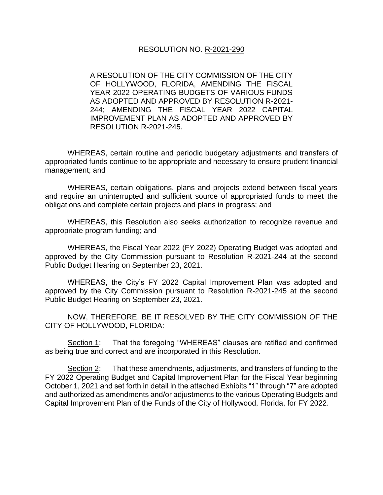A RESOLUTION OF THE CITY COMMISSION OF THE CITY OF HOLLYWOOD, FLORIDA, AMENDING THE FISCAL YEAR 2022 OPERATING BUDGETS OF VARIOUS FUNDS AS ADOPTED AND APPROVED BY RESOLUTION R-2021- 244; AMENDING THE FISCAL YEAR 2022 CAPITAL IMPROVEMENT PLAN AS ADOPTED AND APPROVED BY RESOLUTION R-2021-245.

WHEREAS, certain routine and periodic budgetary adjustments and transfers of appropriated funds continue to be appropriate and necessary to ensure prudent financial management; and

WHEREAS, certain obligations, plans and projects extend between fiscal years and require an uninterrupted and sufficient source of appropriated funds to meet the obligations and complete certain projects and plans in progress; and

WHEREAS, this Resolution also seeks authorization to recognize revenue and appropriate program funding; and

WHEREAS, the Fiscal Year 2022 (FY 2022) Operating Budget was adopted and approved by the City Commission pursuant to Resolution R-2021-244 at the second Public Budget Hearing on September 23, 2021.

WHEREAS, the City's FY 2022 Capital Improvement Plan was adopted and approved by the City Commission pursuant to Resolution R-2021-245 at the second Public Budget Hearing on September 23, 2021.

NOW, THEREFORE, BE IT RESOLVED BY THE CITY COMMISSION OF THE CITY OF HOLLYWOOD, FLORIDA:

Section 1: That the foregoing "WHEREAS" clauses are ratified and confirmed as being true and correct and are incorporated in this Resolution.

Section 2: That these amendments, adjustments, and transfers of funding to the FY 2022 Operating Budget and Capital Improvement Plan for the Fiscal Year beginning October 1, 2021 and set forth in detail in the attached Exhibits "1" through "7" are adopted and authorized as amendments and/or adjustments to the various Operating Budgets and Capital Improvement Plan of the Funds of the City of Hollywood, Florida, for FY 2022.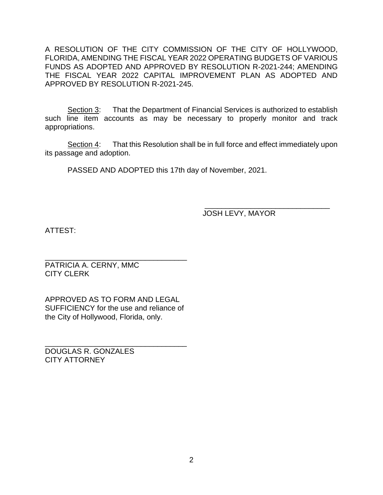A RESOLUTION OF THE CITY COMMISSION OF THE CITY OF HOLLYWOOD, FLORIDA, AMENDING THE FISCAL YEAR 2022 OPERATING BUDGETS OF VARIOUS FUNDS AS ADOPTED AND APPROVED BY RESOLUTION R-2021-244; AMENDING THE FISCAL YEAR 2022 CAPITAL IMPROVEMENT PLAN AS ADOPTED AND APPROVED BY RESOLUTION R-2021-245.

Section 3: That the Department of Financial Services is authorized to establish such line item accounts as may be necessary to properly monitor and track appropriations.

Section 4: That this Resolution shall be in full force and effect immediately upon its passage and adoption.

PASSED AND ADOPTED this 17th day of November, 2021.

 $\frac{1}{2}$  ,  $\frac{1}{2}$  ,  $\frac{1}{2}$  ,  $\frac{1}{2}$  ,  $\frac{1}{2}$  ,  $\frac{1}{2}$  ,  $\frac{1}{2}$  ,  $\frac{1}{2}$  ,  $\frac{1}{2}$  ,  $\frac{1}{2}$  ,  $\frac{1}{2}$  ,  $\frac{1}{2}$  ,  $\frac{1}{2}$  ,  $\frac{1}{2}$  ,  $\frac{1}{2}$  ,  $\frac{1}{2}$  ,  $\frac{1}{2}$  ,  $\frac{1}{2}$  ,  $\frac{1$ JOSH LEVY, MAYOR

ATTEST:

\_\_\_\_\_\_\_\_\_\_\_\_\_\_\_\_\_\_\_\_\_\_\_\_\_\_\_\_\_\_\_\_\_\_ PATRICIA A. CERNY, MMC CITY CLERK

APPROVED AS TO FORM AND LEGAL SUFFICIENCY for the use and reliance of the City of Hollywood, Florida, only.

\_\_\_\_\_\_\_\_\_\_\_\_\_\_\_\_\_\_\_\_\_\_\_\_\_\_\_\_\_\_\_\_\_\_

DOUGLAS R. GONZALES CITY ATTORNEY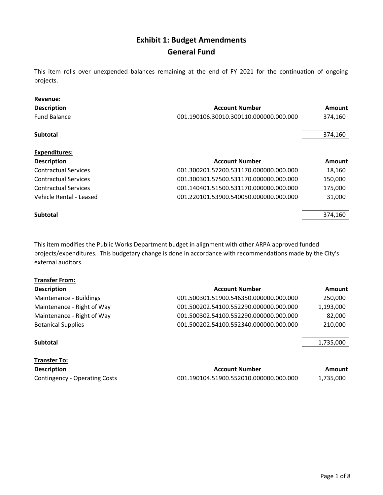#### **Exhibit 1: Budget Amendments General Fund**

This item rolls over unexpended balances remaining at the end of FY 2021 for the continuation of ongoing projects.

| Revenue:                    |                                        |               |
|-----------------------------|----------------------------------------|---------------|
| <b>Description</b>          | <b>Account Number</b>                  | <b>Amount</b> |
| <b>Fund Balance</b>         | 001.190106.30010.300110.000000.000.000 | 374,160       |
| <b>Subtotal</b>             |                                        | 374,160       |
| <b>Expenditures:</b>        |                                        |               |
| <b>Description</b>          | <b>Account Number</b>                  | <b>Amount</b> |
| <b>Contractual Services</b> | 001.300201.57200.531170.000000.000.000 | 18,160        |
| <b>Contractual Services</b> | 001.300301.57500.531170.000000.000.000 | 150,000       |
| <b>Contractual Services</b> | 001.140401.51500.531170.000000.000.000 | 175,000       |
| Vehicle Rental - Leased     | 001.220101.53900.540050.000000.000.000 | 31,000        |
| <b>Subtotal</b>             |                                        | 374.160       |

This item modifies the Public Works Department budget in alignment with other ARPA approved funded projects/expenditures. This budgetary change is done in accordance with recommendations made by the City's external auditors.

| <b>Transfer From:</b>      |                                        |           |
|----------------------------|----------------------------------------|-----------|
| <b>Description</b>         | <b>Account Number</b>                  | Amount    |
| Maintenance - Buildings    | 001.500301.51900.546350.000000.000.000 | 250,000   |
| Maintenance - Right of Way | 001.500202.54100.552290.000000.000.000 | 1,193,000 |
| Maintenance - Right of Way | 001.500302.54100.552290.000000.000.000 | 82,000    |
| <b>Botanical Supplies</b>  | 001.500202.54100.552340.000000.000.000 | 210,000   |
| <b>Subtotal</b>            |                                        | 1,735,000 |
| <b>Transfer To:</b>        |                                        |           |
| <b>Description</b>         | <b>Account Number</b>                  | Amount    |

| <b>Description</b>            | <b>Account Number</b>                  | Amount    |
|-------------------------------|----------------------------------------|-----------|
| Contingency - Operating Costs | 001.190104.51900.552010.000000.000.000 | 1.735.000 |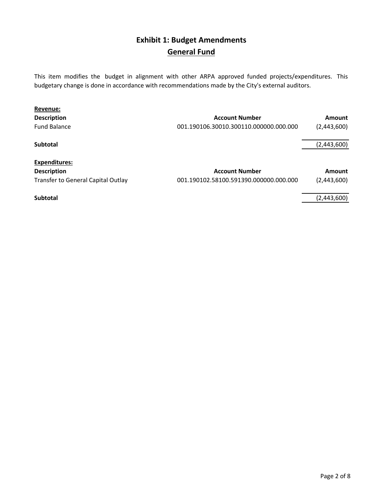### **Exhibit 1: Budget Amendments General Fund**

This item modifies the budget in alignment with other ARPA approved funded projects/expenditures. This budgetary change is done in accordance with recommendations made by the City's external auditors.

| <b>Revenue:</b>                    |                                        |             |
|------------------------------------|----------------------------------------|-------------|
| <b>Description</b>                 | <b>Account Number</b>                  | Amount      |
| <b>Fund Balance</b>                | 001.190106.30010.300110.000000.000.000 | (2,443,600) |
| Subtotal                           |                                        | (2,443,600) |
| <b>Expenditures:</b>               |                                        |             |
| <b>Description</b>                 | <b>Account Number</b>                  | Amount      |
| Transfer to General Capital Outlay | 001.190102.58100.591390.000000.000.000 | (2,443,600) |
| <b>Subtotal</b>                    |                                        | (2,443,600) |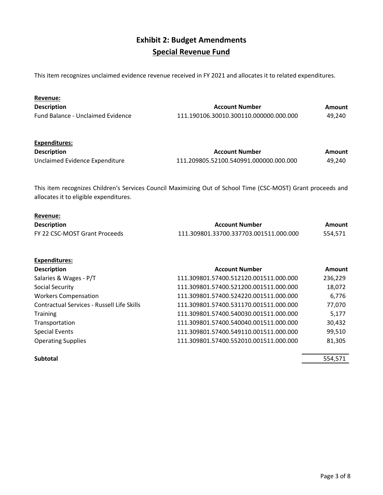### **Exhibit 2: Budget Amendments Special Revenue Fund**

This item recognizes unclaimed evidence revenue received in FY 2021 and allocates it to related expenditures.

| Revenue:                                                                                                                                               |                                        |               |
|--------------------------------------------------------------------------------------------------------------------------------------------------------|----------------------------------------|---------------|
| <b>Description</b>                                                                                                                                     | <b>Account Number</b>                  | <b>Amount</b> |
| Fund Balance - Unclaimed Evidence                                                                                                                      | 111.190106.30010.300110.000000.000.000 | 49,240        |
| Expenditures:                                                                                                                                          |                                        |               |
| <b>Description</b>                                                                                                                                     | <b>Account Number</b>                  | Amount        |
| Unclaimed Evidence Expenditure                                                                                                                         | 111.209805.52100.540991.000000.000.000 | 49,240        |
| This item recognizes Children's Services Council Maximizing Out of School Time (CSC-MOST) Grant proceeds and<br>allocates it to eligible expenditures. |                                        |               |
| Revenue:                                                                                                                                               |                                        |               |
| <b>Description</b>                                                                                                                                     | <b>Account Number</b>                  | Amount        |
| FY 22 CSC-MOST Grant Proceeds                                                                                                                          | 111.309801.33700.337703.001511.000.000 | 554,571       |

| <b>Description</b>                         | <b>Account Number</b>                  | Amount  |
|--------------------------------------------|----------------------------------------|---------|
| Salaries & Wages - P/T                     | 111.309801.57400.512120.001511.000.000 | 236,229 |
| Social Security                            | 111.309801.57400.521200.001511.000.000 | 18,072  |
| <b>Workers Compensation</b>                | 111.309801.57400.524220.001511.000.000 | 6,776   |
| Contractual Services - Russell Life Skills | 111.309801.57400.531170.001511.000.000 | 77,070  |
| <b>Training</b>                            | 111.309801.57400.540030.001511.000.000 | 5,177   |
| Transportation                             | 111.309801.57400.540040.001511.000.000 | 30,432  |
| <b>Special Events</b>                      | 111.309801.57400.549110.001511.000.000 | 99,510  |
| <b>Operating Supplies</b>                  | 111.309801.57400.552010.001511.000.000 | 81,305  |
|                                            |                                        |         |

**Expenditures:**

**Subtotal** 554,571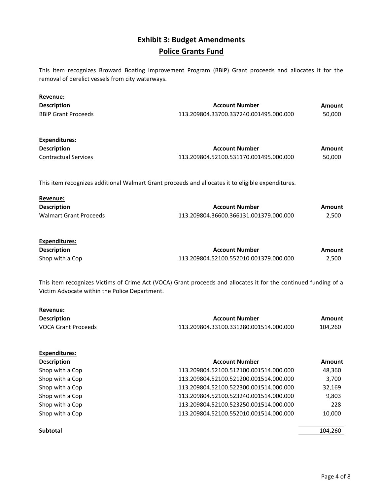#### **Exhibit 3: Budget Amendments Police Grants Fund**

This item recognizes Broward Boating Improvement Program (BBIP) Grant proceeds and allocates it for the removal of derelict vessels from city waterways.

| Revenue:                                      |                                                                                                                 |               |
|-----------------------------------------------|-----------------------------------------------------------------------------------------------------------------|---------------|
| <b>Description</b>                            | <b>Account Number</b>                                                                                           | Amount        |
| <b>BBIP Grant Proceeds</b>                    | 113.209804.33700.337240.001495.000.000                                                                          | 50,000        |
| <b>Expenditures:</b>                          |                                                                                                                 |               |
| <b>Description</b>                            | <b>Account Number</b>                                                                                           | Amount        |
| <b>Contractual Services</b>                   | 113.209804.52100.531170.001495.000.000                                                                          | 50,000        |
|                                               | This item recognizes additional Walmart Grant proceeds and allocates it to eligible expenditures.               |               |
| Revenue:                                      |                                                                                                                 |               |
| <b>Description</b>                            | <b>Account Number</b>                                                                                           | Amount        |
| <b>Walmart Grant Proceeds</b>                 | 113.209804.36600.366131.001379.000.000                                                                          | 2,500         |
| Expenditures:                                 |                                                                                                                 |               |
| <b>Description</b>                            | <b>Account Number</b>                                                                                           | <b>Amount</b> |
| Shop with a Cop                               | 113.209804.52100.552010.001379.000.000                                                                          | 2,500         |
| Victim Advocate within the Police Department. | This item recognizes Victims of Crime Act (VOCA) Grant proceeds and allocates it for the continued funding of a |               |
| Revenue:                                      |                                                                                                                 |               |
| <b>Description</b>                            | <b>Account Number</b>                                                                                           | Amount        |
| <b>VOCA Grant Proceeds</b>                    | 113.209804.33100.331280.001514.000.000                                                                          | 104,260       |
| <b>Expenditures:</b>                          |                                                                                                                 |               |
| <b>Description</b>                            | <b>Account Number</b>                                                                                           | Amount        |
| Shop with a Cop                               | 113.209804.52100.512100.001514.000.000                                                                          | 48,360        |

| Shop with a Cop | 113.209804.52100.512100.001514.000.000 | 48,360 |
|-----------------|----------------------------------------|--------|
| Shop with a Cop | 113.209804.52100.521200.001514.000.000 | 3,700  |
| Shop with a Cop | 113.209804.52100.522300.001514.000.000 | 32,169 |
| Shop with a Cop | 113.209804.52100.523240.001514.000.000 | 9,803  |
| Shop with a Cop | 113.209804.52100.523250.001514.000.000 | 228    |
| Shop with a Cop | 113.209804.52100.552010.001514.000.000 | 10,000 |
|                 |                                        |        |

**Subtotal** 104,260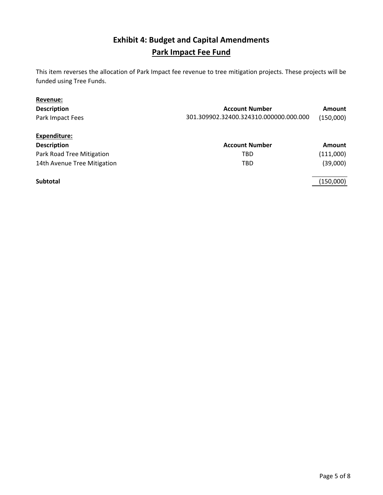## **Exhibit 4: Budget and Capital Amendments Park Impact Fee Fund**

This item reverses the allocation of Park Impact fee revenue to tree mitigation projects. These projects will be funded using Tree Funds.

| Revenue:                    |                                        |               |
|-----------------------------|----------------------------------------|---------------|
| <b>Description</b>          | <b>Account Number</b>                  | Amount        |
| Park Impact Fees            | 301.309902.32400.324310.000000.000.000 | (150,000)     |
| Expenditure:                |                                        |               |
| <b>Description</b>          | <b>Account Number</b>                  | <b>Amount</b> |
| Park Road Tree Mitigation   | <b>TBD</b>                             | (111,000)     |
| 14th Avenue Tree Mitigation | <b>TBD</b>                             | (39,000)      |
| <b>Subtotal</b>             |                                        | (150,000)     |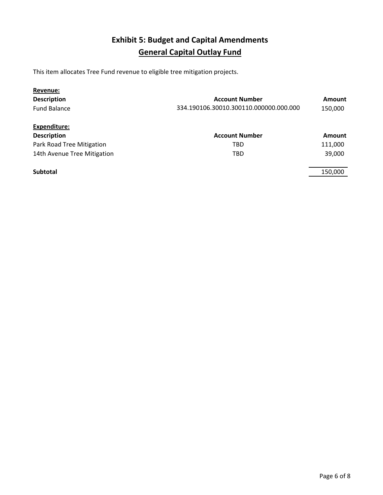# **Exhibit 5: Budget and Capital Amendments General Capital Outlay Fund**

This item allocates Tree Fund revenue to eligible tree mitigation projects.

| Revenue:                    |                                        |               |
|-----------------------------|----------------------------------------|---------------|
| <b>Description</b>          | <b>Account Number</b>                  | <b>Amount</b> |
| <b>Fund Balance</b>         | 334.190106.30010.300110.000000.000.000 | 150,000       |
| Expenditure:                |                                        |               |
| <b>Description</b>          | <b>Account Number</b>                  | <b>Amount</b> |
| Park Road Tree Mitigation   | TBD                                    | 111,000       |
| 14th Avenue Tree Mitigation | TBD                                    | 39,000        |
| <b>Subtotal</b>             |                                        | 150,000       |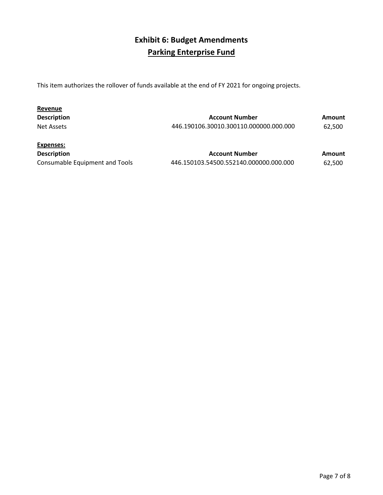# **Exhibit 6: Budget Amendments Parking Enterprise Fund**

This item authorizes the rollover of funds available at the end of FY 2021 for ongoing projects.

| Revenue            |                                        |               |
|--------------------|----------------------------------------|---------------|
| <b>Description</b> | <b>Account Number</b>                  | <b>Amount</b> |
| Net Assets         | 446.190106.30010.300110.000000.000.000 | 62.500        |
| Expenses:          |                                        |               |

| <b>LAPLITSCS.</b>              |    |
|--------------------------------|----|
| <b>Description</b>             |    |
| Consumable Equipment and Tools | 44 |

| <b>Description</b>             | <b>Account Number</b>                  | Amount |
|--------------------------------|----------------------------------------|--------|
| Consumable Equipment and Tools | 446.150103.54500.552140.000000.000.000 | 62,500 |